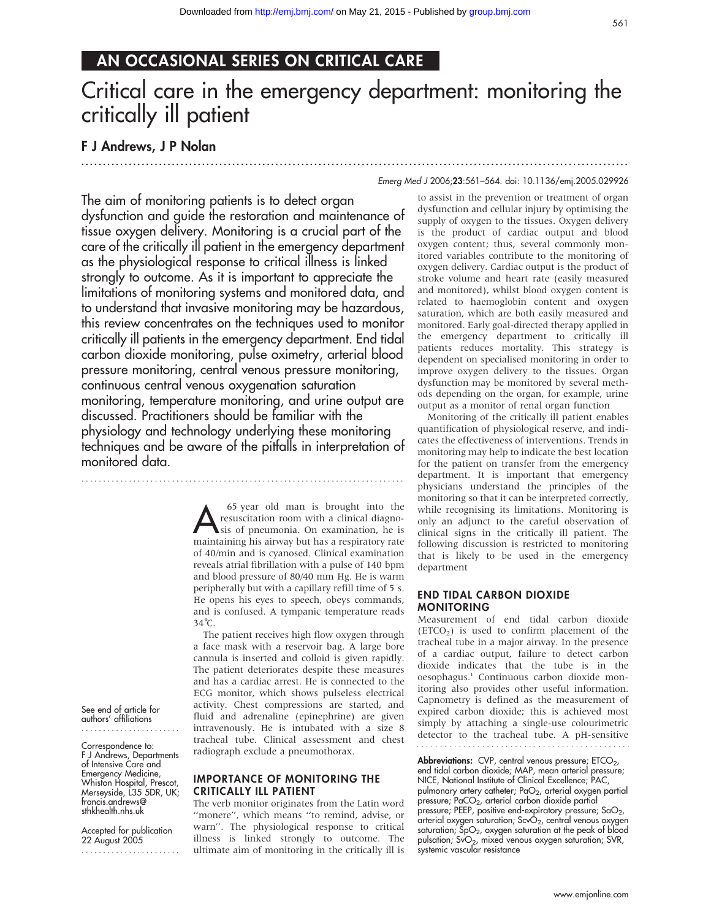# AN OCCASIONAL SERIES ON CRITICAL CARE

# Critical care in the emergency department: monitoring the critically ill patient

.............................................................................................................................. .

# F J Andrews, J P Nolan

#### Emerg Med J 2006;23:561–564. doi: 10.1136/emj.2005.029926

The aim of monitoring patients is to detect organ dysfunction and guide the restoration and maintenance of tissue oxygen delivery. Monitoring is a crucial part of the care of the critically ill patient in the emergency department as the physiological response to critical illness is linked strongly to outcome. As it is important to appreciate the limitations of monitoring systems and monitored data, and to understand that invasive monitoring may be hazardous, this review concentrates on the techniques used to monitor critically ill patients in the emergency department. End tidal carbon dioxide monitoring, pulse oximetry, arterial blood pressure monitoring, central venous pressure monitoring, continuous central venous oxygenation saturation monitoring, temperature monitoring, and urine output are discussed. Practitioners should be familiar with the physiology and technology underlying these monitoring techniques and be aware of the pitfalls in interpretation of monitored data.

...........................................................................

<sup>65</sup> year old man is brought into the<br>resuscitation room with a clinical diagnosis of pneumonia. On examination, he is<br>maintaining bis airway but bas a respiratory rate resuscitation room with a clinical diagnomaintaining his airway but has a respiratory rate of 40/min and is cyanosed. Clinical examination reveals atrial fibrillation with a pulse of 140 bpm and blood pressure of 80/40 mm Hg. He is warm peripherally but with a capillary refill time of 5 s. He opens his eyes to speech, obeys commands, and is confused. A tympanic temperature reads 34˚C.

The patient receives high flow oxygen through a face mask with a reservoir bag. A large bore cannula is inserted and colloid is given rapidly. The patient deteriorates despite these measures and has a cardiac arrest. He is connected to the ECG monitor, which shows pulseless electrical activity. Chest compressions are started, and fluid and adrenaline (epinephrine) are given intravenously. He is intubated with a size 8 tracheal tube. Clinical assessment and chest radiograph exclude a pneumothorax.

#### IMPORTANCE OF MONITORING THE CRITICALLY ILL PATIENT

The verb monitor originates from the Latin word ''monere'', which means ''to remind, advise, or warn''. The physiological response to critical illness is linked strongly to outcome. The ultimate aim of monitoring in the critically ill is

to assist in the prevention or treatment of organ dysfunction and cellular injury by optimising the supply of oxygen to the tissues. Oxygen delivery is the product of cardiac output and blood oxygen content; thus, several commonly monitored variables contribute to the monitoring of oxygen delivery. Cardiac output is the product of stroke volume and heart rate (easily measured and monitored), whilst blood oxygen content is related to haemoglobin content and oxygen saturation, which are both easily measured and monitored. Early goal-directed therapy applied in the emergency department to critically ill patients reduces mortality. This strategy is dependent on specialised monitoring in order to improve oxygen delivery to the tissues. Organ dysfunction may be monitored by several methods depending on the organ, for example, urine output as a monitor of renal organ function

Monitoring of the critically ill patient enables quantification of physiological reserve, and indicates the effectiveness of interventions. Trends in monitoring may help to indicate the best location for the patient on transfer from the emergency department. It is important that emergency physicians understand the principles of the monitoring so that it can be interpreted correctly, while recognising its limitations. Monitoring is only an adjunct to the careful observation of clinical signs in the critically ill patient. The following discussion is restricted to monitoring that is likely to be used in the emergency department

#### END TIDAL CARBON DIOXIDE MONITORING

Measurement of end tidal carbon dioxide  $(ETCO<sub>2</sub>)$  is used to confirm placement of the tracheal tube in a major airway. In the presence of a cardiac output, failure to detect carbon dioxide indicates that the tube is in the oesophagus.1 Continuous carbon dioxide monitoring also provides other useful information. Capnometry is defined as the measurement of expired carbon dioxide; this is achieved most simply by attaching a single-use colourimetric detector to the tracheal tube. A pH-sensitive

**Abbreviations:** CVP, central venous pressure; ETCO<sub>2</sub>,<br>end tidal carbon dioxide; MAP, mean arterial pressure; NICE, National Institute of Clinical Excellence; PAC, pulmonary artery catheter; PaO<sub>2</sub>, arterial oxygen partial pressure; PaCO<sub>2</sub>, arterial carbon dioxide partial pressure; PEEP, positive end-expiratory pressure;  $\text{SaO}_2$ , arterial oxygen saturation;  $ScvO<sub>2</sub>$ , central venous oxygen saturation;  $\overline{SpO_2}$ , oxygen saturation at the peak of blood pulsation; SvO<sub>2</sub>, mixed venous oxygen saturation; SVR, systemic vascular resistance

See end of article for authors' affiliations .......................

Correspondence to: F J Andrews, Departments of Intensive Care and Emergency Medicine, Whiston Hospital, Prescot, Merseyside, L35 5DR, UK; francis.andrews@ sthkhealth.nhs.uk

Accepted for publication 22 August 2005 .......................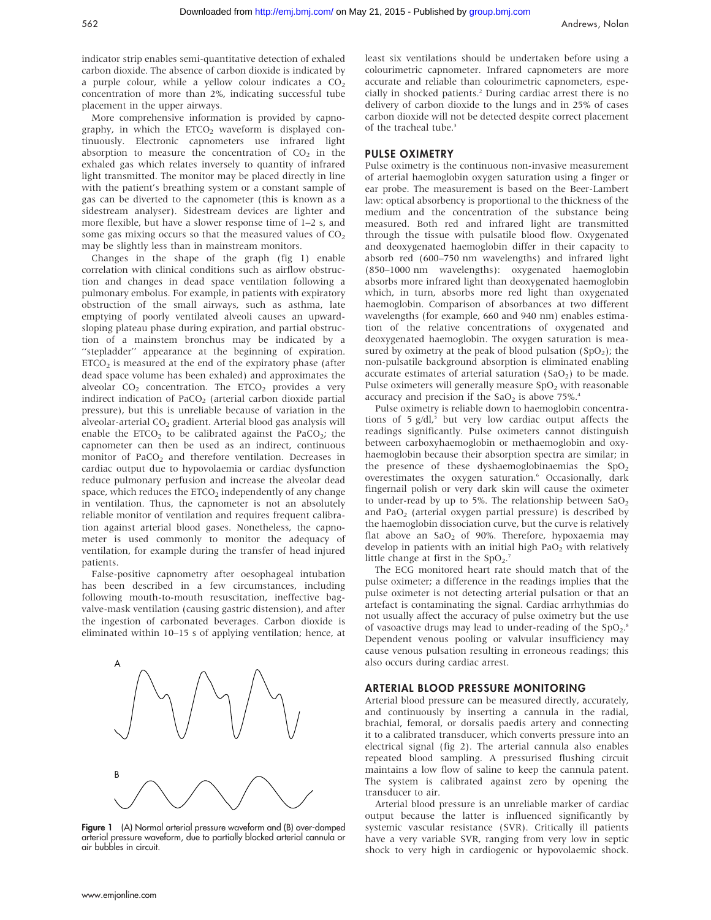indicator strip enables semi-quantitative detection of exhaled carbon dioxide. The absence of carbon dioxide is indicated by a purple colour, while a yellow colour indicates a  $CO<sub>2</sub>$ concentration of more than 2%, indicating successful tube placement in the upper airways.

More comprehensive information is provided by capnography, in which the  $ETCO<sub>2</sub>$  waveform is displayed continuously. Electronic capnometers use infrared light absorption to measure the concentration of  $CO<sub>2</sub>$  in the exhaled gas which relates inversely to quantity of infrared light transmitted. The monitor may be placed directly in line with the patient's breathing system or a constant sample of gas can be diverted to the capnometer (this is known as a sidestream analyser). Sidestream devices are lighter and more flexible, but have a slower response time of 1–2 s, and some gas mixing occurs so that the measured values of  $CO<sub>2</sub>$ may be slightly less than in mainstream monitors.

Changes in the shape of the graph (fig 1) enable correlation with clinical conditions such as airflow obstruction and changes in dead space ventilation following a pulmonary embolus. For example, in patients with expiratory obstruction of the small airways, such as asthma, late emptying of poorly ventilated alveoli causes an upwardsloping plateau phase during expiration, and partial obstruction of a mainstem bronchus may be indicated by a "stepladder" appearance at the beginning of expiration.  $ETCO<sub>2</sub>$  is measured at the end of the expiratory phase (after dead space volume has been exhaled) and approximates the alveolar  $CO<sub>2</sub>$  concentration. The ETCO<sub>2</sub> provides a very indirect indication of PaCO<sub>2</sub> (arterial carbon dioxide partial pressure), but this is unreliable because of variation in the alveolar-arterial  $CO<sub>2</sub>$  gradient. Arterial blood gas analysis will enable the  $ETCO<sub>2</sub>$  to be calibrated against the PaCO<sub>2</sub>; the capnometer can then be used as an indirect, continuous monitor of PaCO<sub>2</sub> and therefore ventilation. Decreases in cardiac output due to hypovolaemia or cardiac dysfunction reduce pulmonary perfusion and increase the alveolar dead space, which reduces the  $ETCO<sub>2</sub>$  independently of any change in ventilation. Thus, the capnometer is not an absolutely reliable monitor of ventilation and requires frequent calibration against arterial blood gases. Nonetheless, the capnometer is used commonly to monitor the adequacy of ventilation, for example during the transfer of head injured patients.

False-positive capnometry after oesophageal intubation has been described in a few circumstances, including following mouth-to-mouth resuscitation, ineffective bagvalve-mask ventilation (causing gastric distension), and after the ingestion of carbonated beverages. Carbon dioxide is eliminated within 10–15 s of applying ventilation; hence, at



Figure 1 (A) Normal arterial pressure waveform and (B) over-damped arterial pressure waveform, due to partially blocked arterial cannula or air bubbles in circuit.

least six ventilations should be undertaken before using a colourimetric capnometer. Infrared capnometers are more accurate and reliable than colourimetric capnometers, especially in shocked patients.<sup>2</sup> During cardiac arrest there is no delivery of carbon dioxide to the lungs and in 25% of cases carbon dioxide will not be detected despite correct placement of the tracheal tube.<sup>3</sup>

## PULSE OXIMETRY

Pulse oximetry is the continuous non-invasive measurement of arterial haemoglobin oxygen saturation using a finger or ear probe. The measurement is based on the Beer-Lambert law: optical absorbency is proportional to the thickness of the medium and the concentration of the substance being measured. Both red and infrared light are transmitted through the tissue with pulsatile blood flow. Oxygenated and deoxygenated haemoglobin differ in their capacity to absorb red (600–750 nm wavelengths) and infrared light (850–1000 nm wavelengths): oxygenated haemoglobin absorbs more infrared light than deoxygenated haemoglobin which, in turn, absorbs more red light than oxygenated haemoglobin. Comparison of absorbances at two different wavelengths (for example, 660 and 940 nm) enables estimation of the relative concentrations of oxygenated and deoxygenated haemoglobin. The oxygen saturation is measured by oximetry at the peak of blood pulsation  $(SpO<sub>2</sub>)$ ; the non-pulsatile background absorption is eliminated enabling accurate estimates of arterial saturation  $(SaO<sub>2</sub>)$  to be made. Pulse oximeters will generally measure SpO<sub>2</sub> with reasonable accuracy and precision if the  $SaO<sub>2</sub>$  is above 75%.<sup>4</sup>

Pulse oximetry is reliable down to haemoglobin concentrations of  $5$  g/dl,<sup>5</sup> but very low cardiac output affects the readings significantly. Pulse oximeters cannot distinguish between carboxyhaemoglobin or methaemoglobin and oxyhaemoglobin because their absorption spectra are similar; in the presence of these dyshaemoglobinaemias the  $SpO<sub>2</sub>$ overestimates the oxygen saturation.<sup>6</sup> Occasionally, dark fingernail polish or very dark skin will cause the oximeter to under-read by up to 5%. The relationship between  $SaO<sub>2</sub>$ and PaO<sub>2</sub> (arterial oxygen partial pressure) is described by the haemoglobin dissociation curve, but the curve is relatively flat above an  $SaO<sub>2</sub>$  of 90%. Therefore, hypoxaemia may develop in patients with an initial high  $PaO<sub>2</sub>$  with relatively little change at first in the  $SpO<sub>2</sub>$ .

The ECG monitored heart rate should match that of the pulse oximeter; a difference in the readings implies that the pulse oximeter is not detecting arterial pulsation or that an artefact is contaminating the signal. Cardiac arrhythmias do not usually affect the accuracy of pulse oximetry but the use of vasoactive drugs may lead to under-reading of the SpO<sub>2</sub>.<sup>8</sup> Dependent venous pooling or valvular insufficiency may cause venous pulsation resulting in erroneous readings; this also occurs during cardiac arrest.

#### ARTERIAL BLOOD PRESSURE MONITORING

Arterial blood pressure can be measured directly, accurately, and continuously by inserting a cannula in the radial, brachial, femoral, or dorsalis paedis artery and connecting it to a calibrated transducer, which converts pressure into an electrical signal (fig 2). The arterial cannula also enables repeated blood sampling. A pressurised flushing circuit maintains a low flow of saline to keep the cannula patent. The system is calibrated against zero by opening the transducer to air.

Arterial blood pressure is an unreliable marker of cardiac output because the latter is influenced significantly by systemic vascular resistance (SVR). Critically ill patients have a very variable SVR, ranging from very low in septic shock to very high in cardiogenic or hypovolaemic shock.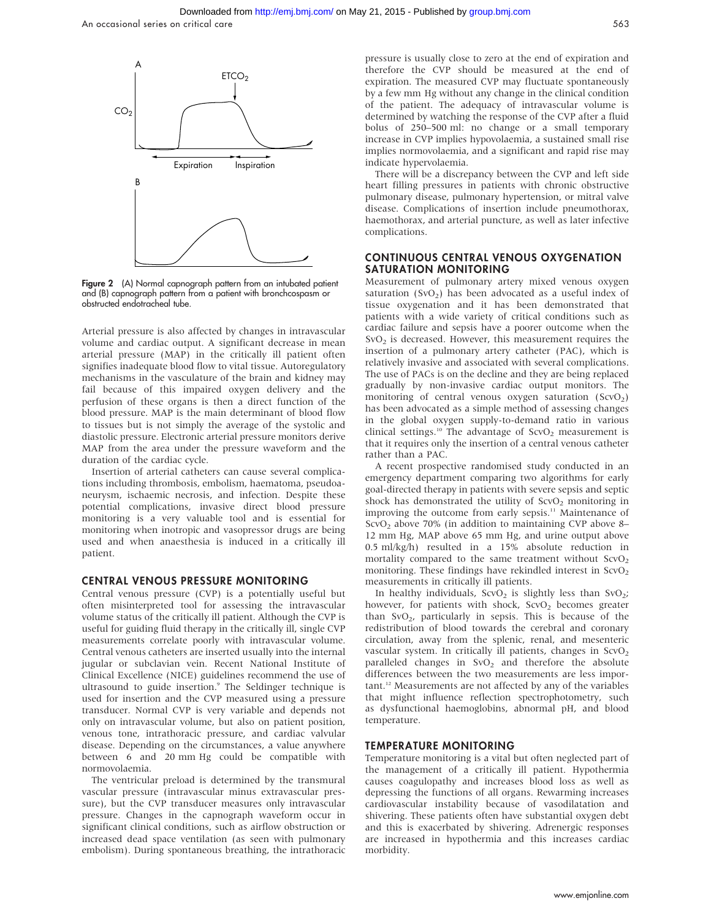

Figure 2 (A) Normal capnograph pattern from an intubated patient and (B) capnograph pattern from a patient with bronchcospasm or obstructed endotracheal tube.

Arterial pressure is also affected by changes in intravascular volume and cardiac output. A significant decrease in mean arterial pressure (MAP) in the critically ill patient often signifies inadequate blood flow to vital tissue. Autoregulatory mechanisms in the vasculature of the brain and kidney may fail because of this impaired oxygen delivery and the perfusion of these organs is then a direct function of the blood pressure. MAP is the main determinant of blood flow to tissues but is not simply the average of the systolic and diastolic pressure. Electronic arterial pressure monitors derive MAP from the area under the pressure waveform and the duration of the cardiac cycle.

Insertion of arterial catheters can cause several complications including thrombosis, embolism, haematoma, pseudoaneurysm, ischaemic necrosis, and infection. Despite these potential complications, invasive direct blood pressure monitoring is a very valuable tool and is essential for monitoring when inotropic and vasopressor drugs are being used and when anaesthesia is induced in a critically ill patient.

#### CENTRAL VENOUS PRESSURE MONITORING

Central venous pressure (CVP) is a potentially useful but often misinterpreted tool for assessing the intravascular volume status of the critically ill patient. Although the CVP is useful for guiding fluid therapy in the critically ill, single CVP measurements correlate poorly with intravascular volume. Central venous catheters are inserted usually into the internal jugular or subclavian vein. Recent National Institute of Clinical Excellence (NICE) guidelines recommend the use of ultrasound to guide insertion.<sup>9</sup> The Seldinger technique is used for insertion and the CVP measured using a pressure transducer. Normal CVP is very variable and depends not only on intravascular volume, but also on patient position, venous tone, intrathoracic pressure, and cardiac valvular disease. Depending on the circumstances, a value anywhere between 6 and 20 mm Hg could be compatible with normovolaemia.

The ventricular preload is determined by the transmural vascular pressure (intravascular minus extravascular pressure), but the CVP transducer measures only intravascular pressure. Changes in the capnograph waveform occur in significant clinical conditions, such as airflow obstruction or increased dead space ventilation (as seen with pulmonary embolism). During spontaneous breathing, the intrathoracic pressure is usually close to zero at the end of expiration and therefore the CVP should be measured at the end of expiration. The measured CVP may fluctuate spontaneously by a few mm Hg without any change in the clinical condition of the patient. The adequacy of intravascular volume is determined by watching the response of the CVP after a fluid bolus of 250–500 ml: no change or a small temporary increase in CVP implies hypovolaemia, a sustained small rise implies normovolaemia, and a significant and rapid rise may indicate hypervolaemia.

There will be a discrepancy between the CVP and left side heart filling pressures in patients with chronic obstructive pulmonary disease, pulmonary hypertension, or mitral valve disease. Complications of insertion include pneumothorax, haemothorax, and arterial puncture, as well as later infective complications.

#### CONTINUOUS CENTRAL VENOUS OXYGENATION SATURATION MONITORING

Measurement of pulmonary artery mixed venous oxygen saturation  $(SvO<sub>2</sub>)$  has been advocated as a useful index of tissue oxygenation and it has been demonstrated that patients with a wide variety of critical conditions such as cardiac failure and sepsis have a poorer outcome when the  $SvO<sub>2</sub>$  is decreased. However, this measurement requires the insertion of a pulmonary artery catheter (PAC), which is relatively invasive and associated with several complications. The use of PACs is on the decline and they are being replaced gradually by non-invasive cardiac output monitors. The monitoring of central venous oxygen saturation  $(Scvo<sub>2</sub>)$ has been advocated as a simple method of assessing changes in the global oxygen supply-to-demand ratio in various clinical settings.<sup>10</sup> The advantage of  $ScvO<sub>2</sub>$  measurement is that it requires only the insertion of a central venous catheter rather than a PAC.

A recent prospective randomised study conducted in an emergency department comparing two algorithms for early goal-directed therapy in patients with severe sepsis and septic shock has demonstrated the utility of  $ScvO<sub>2</sub>$  monitoring in improving the outcome from early sepsis.<sup>11</sup> Maintenance of ScvO<sub>2</sub> above 70% (in addition to maintaining CVP above 8– 12 mm Hg, MAP above 65 mm Hg, and urine output above 0.5 ml/kg/h) resulted in a 15% absolute reduction in mortality compared to the same treatment without  $ScvO<sub>2</sub>$ monitoring. These findings have rekindled interest in  $ScvO<sub>2</sub>$ measurements in critically ill patients.

In healthy individuals,  $S$ cvO<sub>2</sub> is slightly less than  $S$ vO<sub>2</sub>; however, for patients with shock,  $S$ cvO<sub>2</sub> becomes greater than  $SvO<sub>2</sub>$ , particularly in sepsis. This is because of the redistribution of blood towards the cerebral and coronary circulation, away from the splenic, renal, and mesenteric vascular system. In critically ill patients, changes in  $ScvO<sub>2</sub>$ paralleled changes in  $SvO<sub>2</sub>$  and therefore the absolute differences between the two measurements are less important.12 Measurements are not affected by any of the variables that might influence reflection spectrophotometry, such as dysfunctional haemoglobins, abnormal pH, and blood temperature.

#### TEMPERATURE MONITORING

Temperature monitoring is a vital but often neglected part of the management of a critically ill patient. Hypothermia causes coagulopathy and increases blood loss as well as depressing the functions of all organs. Rewarming increases cardiovascular instability because of vasodilatation and shivering. These patients often have substantial oxygen debt and this is exacerbated by shivering. Adrenergic responses are increased in hypothermia and this increases cardiac morbidity.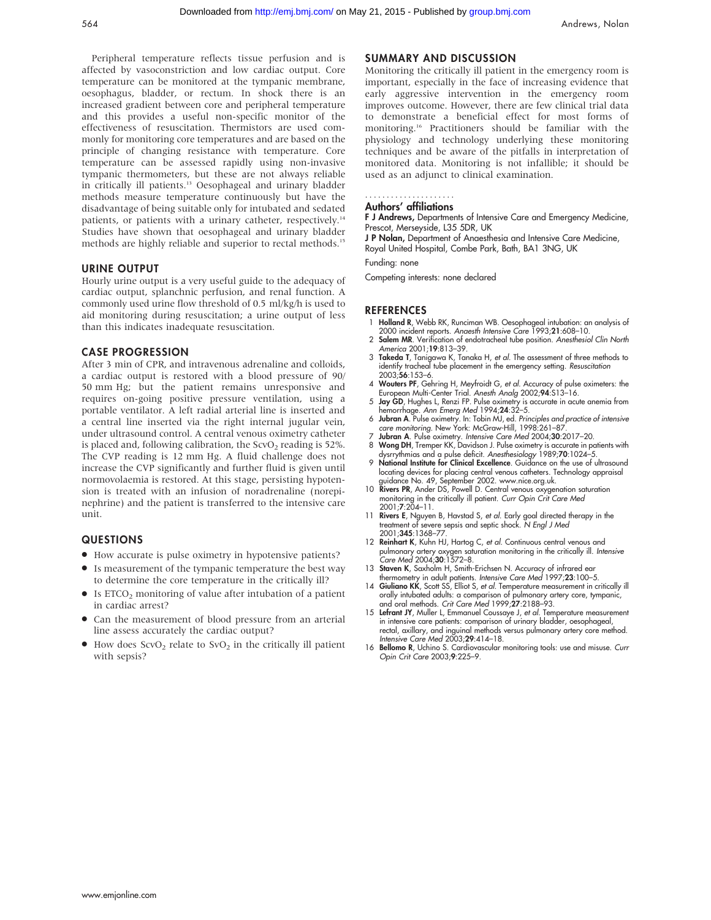Peripheral temperature reflects tissue perfusion and is affected by vasoconstriction and low cardiac output. Core temperature can be monitored at the tympanic membrane, oesophagus, bladder, or rectum. In shock there is an increased gradient between core and peripheral temperature and this provides a useful non-specific monitor of the effectiveness of resuscitation. Thermistors are used commonly for monitoring core temperatures and are based on the principle of changing resistance with temperature. Core temperature can be assessed rapidly using non-invasive tympanic thermometers, but these are not always reliable in critically ill patients.<sup>13</sup> Oesophageal and urinary bladder methods measure temperature continuously but have the disadvantage of being suitable only for intubated and sedated patients, or patients with a urinary catheter, respectively.<sup>14</sup> Studies have shown that oesophageal and urinary bladder methods are highly reliable and superior to rectal methods.<sup>15</sup>

#### URINE OUTPUT

Hourly urine output is a very useful guide to the adequacy of cardiac output, splanchnic perfusion, and renal function. A commonly used urine flow threshold of 0.5 ml/kg/h is used to aid monitoring during resuscitation; a urine output of less than this indicates inadequate resuscitation.

#### CASE PROGRESSION

After 3 min of CPR, and intravenous adrenaline and colloids, a cardiac output is restored with a blood pressure of 90/ 50 mm Hg; but the patient remains unresponsive and requires on-going positive pressure ventilation, using a portable ventilator. A left radial arterial line is inserted and a central line inserted via the right internal jugular vein, under ultrasound control. A central venous oximetry catheter is placed and, following calibration, the  $ScvO<sub>2</sub>$  reading is 52%. The CVP reading is 12 mm Hg. A fluid challenge does not increase the CVP significantly and further fluid is given until normovolaemia is restored. At this stage, persisting hypotension is treated with an infusion of noradrenaline (norepinephrine) and the patient is transferred to the intensive care unit.

## QUESTIONS

- $\bullet$  How accurate is pulse oximetry in hypotensive patients?
- Is measurement of the tympanic temperature the best way to determine the core temperature in the critically ill?
- $\bullet$  Is ETCO<sub>2</sub> monitoring of value after intubation of a patient in cardiac arrest?
- Can the measurement of blood pressure from an arterial line assess accurately the cardiac output?
- $\bullet$  How does ScvO<sub>2</sub> relate to SvO<sub>2</sub> in the critically ill patient with sepsis?

## SUMMARY AND DISCUSSION

Monitoring the critically ill patient in the emergency room is important, especially in the face of increasing evidence that early aggressive intervention in the emergency room improves outcome. However, there are few clinical trial data to demonstrate a beneficial effect for most forms of monitoring.16 Practitioners should be familiar with the physiology and technology underlying these monitoring techniques and be aware of the pitfalls in interpretation of monitored data. Monitoring is not infallible; it should be used as an adjunct to clinical examination.

#### Authors' affiliations .....................

F J Andrews, Departments of Intensive Care and Emergency Medicine, Prescot, Merseyside, L35 5DR, UK

J P Nolan, Department of Anaesthesia and Intensive Care Medicine, Royal United Hospital, Combe Park, Bath, BA1 3NG, UK

Funding: none

Competing interests: none declared

#### REFERENCES

- 1 Holland R, Webb RK, Runciman WB. Oesophageal intubation: an analysis of 2000 incident reports. Anaesth Intensive Care 1993;21:608–10.
- 2 Salem MR. Verification of endotracheal tube position. Anesthesiol Clin North America 2001;19:813–39.
- 3 Takeda T, Tanigawa K, Tanaka H, et al. The assessment of three methods to identify tracheal tube placement in the emergency setting. Resuscitation  $2003.56.153 - 6$
- 4 Wouters PF, Gehring H, Meyfroidt G, et al. Accuracy of pulse oximeters: the European Multi-Center Trial. Anesth Analg 2002;94:S13–16.
- 5 Jay GD, Hughes L, Renzi FP. Pulse oximetry is accurate in acute anemia from hemorrhage. Ann Emerg Med 1994;24:32–5.
- 6 Jubran A. Pulse oximetry. In: Tobin MJ, ed. Principles and practice of intensive care monitoring. New York: McGraw-Hill, 1998:261-87
- 7 J**ubran A**. Pulse oximetry. *Intensive Care Med* 2004;**30**:2017–20.<br>8 Won**g DH**, Tremper KK, Davidson J. Pulse oximetry is accurate in patients with<br>dysrrythmias and a pulse deficit. Anesthesiology 1989;**70**:1024–5.<br>9 **N**
- locating devices for placing central venous catheters. Technology appraisal guidance No. 49, September 2002. www.nice.org.uk.
- 10 Rivers PR, Ander DS, Powell D. Central venous oxygenation saturation monitoring in the critically ill patient. Curr Opin Crit Care Med 2001;7:204–11.
- 11 **Rivers E**, Nguyen B, Havstad S, *et al.* Early goal directed therapy in the treatment of severe sepsis and septic shock. N *Engl J Med* 2001;345:1368–77.
- 12 Reinhart K, Kuhn HJ, Hartog C, et al. Continuous central venous and pulmonary artery oxygen saturation monitoring in the critically ill. Intensive Care Med 2004;30:1572–8.
- 13 **Staven K**, Saxholm H, Smith-Erichsen N. Accuracy of infrared ear<br>thermometry in adult patients. *Intensive Care Med* 1997;**23**:100–5.<br>14 **Giuliano KK**, Scott SS, Elliot S, *et al.* Temperature measurement in critically
- orally intubated adults: a comparison of pulmonary artery core, tympanic, and oral methods. Crit Care Med 1999;27:2188–93.
- 15 Lefrant JY, Muller L, Emmanuel Coussaye J, et al. Temperature measurement in intensive care patients: comparison of urinary bladder, oesophageal rectal, axillary, and inguinal methods versus pulmonary artery core method. Intensive Care Med 2003;29:414–18.
- 16 Bellomo R, Uchino S. Cardiovascular monitoring tools: use and misuse. Curr Opin Crit Care 2003;9:225–9.